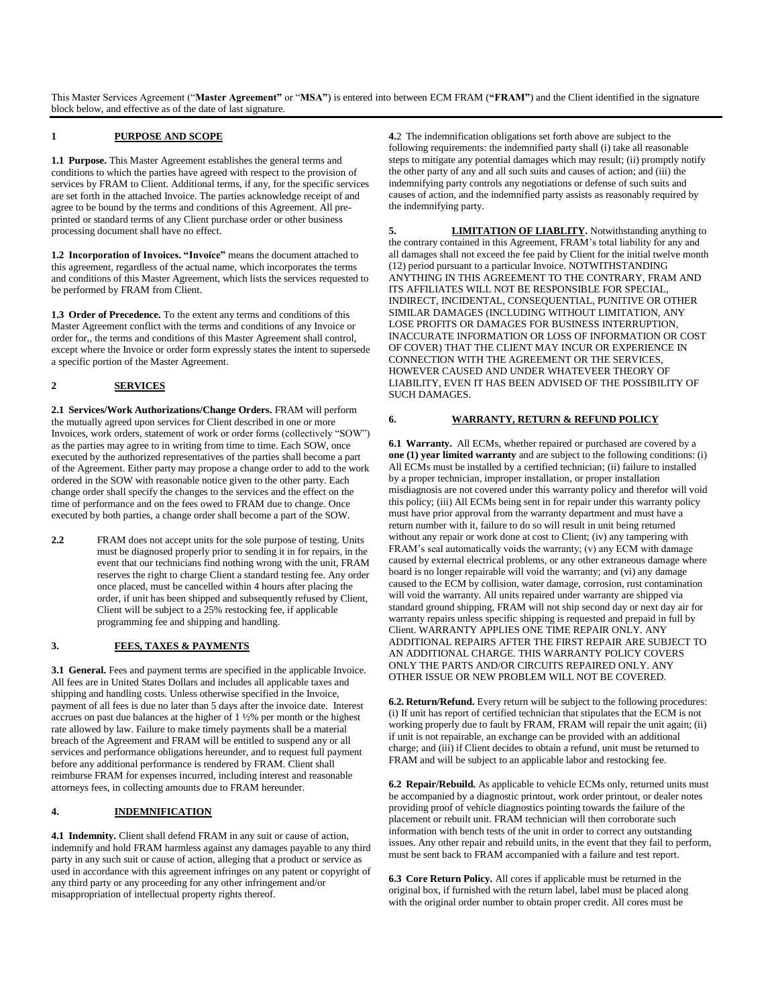This Master Services Agreement ("**Master Agreement"** or "**MSA"**) is entered into between ECM FRAM (**"FRAM"**) and the Client identified in the signature block below, and effective as of the date of last signature.

#### **1 PURPOSE AND SCOPE**

**1.1 Purpose.** This Master Agreement establishes the general terms and conditions to which the parties have agreed with respect to the provision of services by FRAM to Client. Additional terms, if any, for the specific services are set forth in the attached Invoice. The parties acknowledge receipt of and agree to be bound by the terms and conditions of this Agreement. All preprinted or standard terms of any Client purchase order or other business processing document shall have no effect.

**1.2 Incorporation of Invoices. "Invoice"** means the document attached to this agreement, regardless of the actual name, which incorporates the terms and conditions of this Master Agreement, which lists the services requested to be performed by FRAM from Client.

**1.3 Order of Precedence.** To the extent any terms and conditions of this Master Agreement conflict with the terms and conditions of any Invoice or order for,, the terms and conditions of this Master Agreement shall control, except where the Invoice or order form expressly states the intent to supersede a specific portion of the Master Agreement.

## **2 SERVICES**

**2.1 Services/Work Authorizations/Change Orders.** FRAM will perform the mutually agreed upon services for Client described in one or more Invoices, work orders, statement of work or order forms (collectively "SOW") as the parties may agree to in writing from time to time. Each SOW, once executed by the authorized representatives of the parties shall become a part of the Agreement. Either party may propose a change order to add to the work ordered in the SOW with reasonable notice given to the other party. Each change order shall specify the changes to the services and the effect on the time of performance and on the fees owed to FRAM due to change. Once executed by both parties, a change order shall become a part of the SOW.

**2.2** FRAM does not accept units for the sole purpose of testing. Units must be diagnosed properly prior to sending it in for repairs, in the event that our technicians find nothing wrong with the unit, FRAM reserves the right to charge Client a standard testing fee. Any order once placed, must be cancelled within 4 hours after placing the order, if unit has been shipped and subsequently refused by Client, Client will be subject to a 25% restocking fee, if applicable programming fee and shipping and handling.

## **3. FEES, TAXES & PAYMENTS**

**3.1 General.** Fees and payment terms are specified in the applicable Invoice. All fees are in United States Dollars and includes all applicable taxes and shipping and handling costs. Unless otherwise specified in the Invoice, payment of all fees is due no later than 5 days after the invoice date. Interest accrues on past due balances at the higher of 1 ½% per month or the highest rate allowed by law. Failure to make timely payments shall be a material breach of the Agreement and FRAM will be entitled to suspend any or all services and performance obligations hereunder, and to request full payment before any additional performance is rendered by FRAM. Client shall reimburse FRAM for expenses incurred, including interest and reasonable attorneys fees, in collecting amounts due to FRAM hereunder.

# **4. INDEMNIFICATION**

**4.1 Indemnity.** Client shall defend FRAM in any suit or cause of action, indemnify and hold FRAM harmless against any damages payable to any third party in any such suit or cause of action, alleging that a product or service as used in accordance with this agreement infringes on any patent or copyright of any third party or any proceeding for any other infringement and/or misappropriation of intellectual property rights thereof.

**4.**2 The indemnification obligations set forth above are subject to the following requirements: the indemnified party shall (i) take all reasonable steps to mitigate any potential damages which may result; (ii) promptly notify the other party of any and all such suits and causes of action; and (iii) the indemnifying party controls any negotiations or defense of such suits and causes of action, and the indemnified party assists as reasonably required by the indemnifying party.

**5. LIMITATION OF LIABLITY.** Notwithstanding anything to the contrary contained in this Agreement, FRAM's total liability for any and all damages shall not exceed the fee paid by Client for the initial twelve month (12) period pursuant to a particular Invoice. NOTWITHSTANDING ANYTHING IN THIS AGREEMENT TO THE CONTRARY, FRAM AND ITS AFFILIATES WILL NOT BE RESPONSIBLE FOR SPECIAL, INDIRECT, INCIDENTAL, CONSEQUENTIAL, PUNITIVE OR OTHER SIMILAR DAMAGES (INCLUDING WITHOUT LIMITATION, ANY LOSE PROFITS OR DAMAGES FOR BUSINESS INTERRUPTION, INACCURATE INFORMATION OR LOSS OF INFORMATION OR COST OF COVER) THAT THE CLIENT MAY INCUR OR EXPERIENCE IN CONNECTION WITH THE AGREEMENT OR THE SERVICES, HOWEVER CAUSED AND UNDER WHATEVEER THEORY OF LIABILITY, EVEN IT HAS BEEN ADVISED OF THE POSSIBILITY OF SUCH DAMAGES.

## **6. WARRANTY, RETURN & REFUND POLICY**

**6.1 Warranty.** All ECMs, whether repaired or purchased are covered by a **one (1) year limited warranty** and are subject to the following conditions: (i) All ECMs must be installed by a certified technician; (ii) failure to installed by a proper technician, improper installation, or proper installation misdiagnosis are not covered under this warranty policy and therefor will void this policy; (iii) All ECMs being sent in for repair under this warranty policy must have prior approval from the warranty department and must have a return number with it, failure to do so will result in unit being returned without any repair or work done at cost to Client; (iv) any tampering with FRAM's seal automatically voids the warranty; (v) any ECM with damage caused by external electrical problems, or any other extraneous damage where board is no longer repairable will void the warranty; and (vi) any damage caused to the ECM by collision, water damage, corrosion, rust contamination will void the warranty. All units repaired under warranty are shipped via standard ground shipping, FRAM will not ship second day or next day air for warranty repairs unless specific shipping is requested and prepaid in full by Client. WARRANTY APPLIES ONE TIME REPAIR ONLY. ANY ADDITIONAL REPAIRS AFTER THE FIRST REPAIR ARE SUBJECT TO AN ADDITIONAL CHARGE. THIS WARRANTY POLICY COVERS ONLY THE PARTS AND/OR CIRCUITS REPAIRED ONLY. ANY OTHER ISSUE OR NEW PROBLEM WILL NOT BE COVERED.

**6.2. Return/Refund.** Every return will be subject to the following procedures: (i) If unit has report of certified technician that stipulates that the ECM is not working properly due to fault by FRAM, FRAM will repair the unit again; (ii) if unit is not repairable, an exchange can be provided with an additional charge; and (iii) if Client decides to obtain a refund, unit must be returned to FRAM and will be subject to an applicable labor and restocking fee.

**6.2 Repair/Rebuild.** As applicable to vehicle ECMs only, returned units must be accompanied by a diagnostic printout, work order printout, or dealer notes providing proof of vehicle diagnostics pointing towards the failure of the placement or rebuilt unit. FRAM technician will then corroborate such information with bench tests of the unit in order to correct any outstanding issues. Any other repair and rebuild units, in the event that they fail to perform, must be sent back to FRAM accompanied with a failure and test report.

**6.3 Core Return Policy.** All cores if applicable must be returned in the original box, if furnished with the return label, label must be placed along with the original order number to obtain proper credit. All cores must be